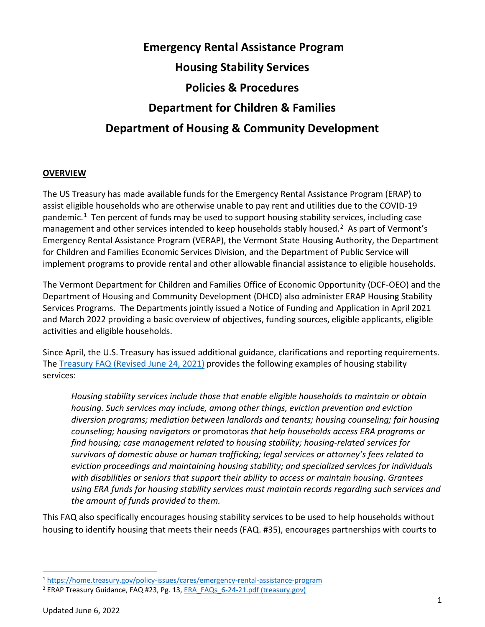# **Emergency Rental Assistance Program Housing Stability Services Policies & Procedures Department for Children & Families Department of Housing & Community Development**

#### **OVERVIEW**

The US Treasury has made available funds for the Emergency Rental Assistance Program (ERAP) to assist eligible households who are otherwise unable to pay rent and utilities due to the COVID-19 pandemic.<sup>1</sup> Ten percent of funds may be used to support housing stability services, including case management and other services intended to keep households stably housed.<sup>2</sup> As part of Vermont's Emergency Rental Assistance Program (VERAP), the Vermont State Housing Authority, the Department for Children and Families Economic Services Division, and the Department of Public Service will implement programs to provide rental and other allowable financial assistance to eligible households.

The Vermont Department for Children and Families Office of Economic Opportunity (DCF-OEO) and the Department of Housing and Community Development (DHCD) also administer ERAP Housing Stability Services Programs. The Departments jointly issued a Notice of Funding and Application in April 2021 and March 2022 providing a basic overview of objectives, funding sources, eligible applicants, eligible activities and eligible households.

Since April, the U.S. Treasury has issued additional guidance, clarifications and reporting requirements. The [Treasury FAQ \(Revised June 24, 2021\)](https://home.treasury.gov/system/files/136/ERA_FAQs_6-24-21.pdf) provides the following examples of housing stability services:

*Housing stability services include those that enable eligible households to maintain or obtain housing. Such services may include, among other things, eviction prevention and eviction diversion programs; mediation between landlords and tenants; housing counseling; fair housing counseling; housing navigators or* promotoras *that help households access ERA programs or find housing; case management related to housing stability; housing-related services for survivors of domestic abuse or human trafficking; legal services or attorney's fees related to eviction proceedings and maintaining housing stability; and specialized services for individuals with disabilities or seniors that support their ability to access or maintain housing. Grantees using ERA funds for housing stability services must maintain records regarding such services and the amount of funds provided to them.*

This FAQ also specifically encourages housing stability services to be used to help households without housing to identify housing that meets their needs (FAQ. #35), encourages partnerships with courts to

<span id="page-0-0"></span><sup>1</sup> <https://home.treasury.gov/policy-issues/cares/emergency-rental-assistance-program>

<span id="page-0-1"></span><sup>&</sup>lt;sup>2</sup> ERAP Treasury Guidance, FAQ #23, Pg. 13[, ERA\\_FAQs\\_6-24-21.pdf \(treasury.gov\)](https://home.treasury.gov/system/files/136/ERA_FAQs_6-24-21.pdf)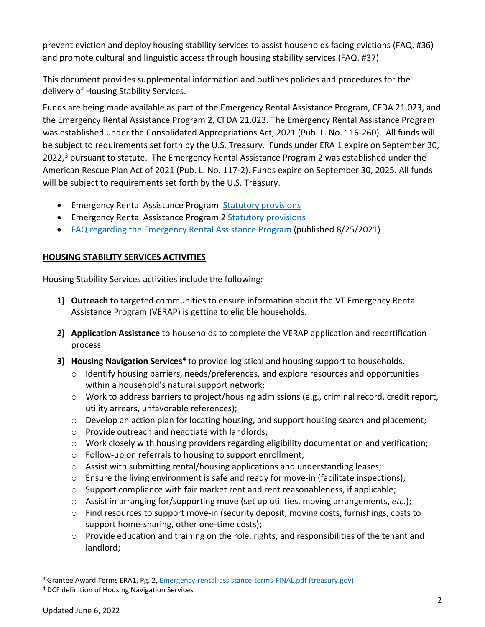prevent eviction and deploy housing stability services to assist households facing evictions (FAQ. #36) and promote cultural and linguistic access through housing stability services (FAQ. #37).

This document provides supplemental information and outlines policies and procedures for the delivery of Housing Stability Services.

Funds are being made available as part of the Emergency Rental Assistance Program, CFDA 21.023, and the Emergency Rental Assistance Program 2, CFDA 21.023. The Emergency Rental Assistance Program was established under the Consolidated Appropriations Act, 2021 (Pub. L. No. 116-260). All funds will be subject to requirements set forth by the U.S. Treasury. Funds under ERA 1 expire on September 30, 2022,<sup>[3](#page-1-0)</sup> pursuant to statute. The Emergency Rental Assistance Program 2 was established under the American Rescue Plan Act of 2021 (Pub. L. No. 117-2). Funds expire on September 30, 2025. All funds will be subject to requirements set forth by the U.S. Treasury.

- Emergency Rental Assistance Program [Statutory provisions](https://home.treasury.gov/system/files/136/Excerpt_Section-501_PL-115-260.pdf)
- Emergency Rental Assistance Program 2 [Statutory provisions](https://home.treasury.gov/system/files/136/era-2-program-statute-section-3201.pdf)
- [FAQ regarding the Emergency Rental Assistance Program](https://home.treasury.gov/system/files/136/ERA-FAQ-8-25-2021.pdf) (published 8/25/2021)

# **HOUSING STABILITY SERVICES ACTIVITIES**

Housing Stability Services activities include the following:

- **1) Outreach** to targeted communities to ensure information about the VT Emergency Rental Assistance Program (VERAP) is getting to eligible households.
- **2) Application Assistance** to households to complete the VERAP application and recertification process.
- **3) Housing Navigation Services[4](#page-1-1)** to provide logistical and housing support to households.
	- $\circ$  Identify housing barriers, needs/preferences, and explore resources and opportunities within a household's natural support network;
	- $\circ$  Work to address barriers to project/housing admissions (e.g., criminal record, credit report, utility arrears, unfavorable references);
	- o Develop an action plan for locating housing, and support housing search and placement;
	- o Provide outreach and negotiate with landlords;
	- o Work closely with housing providers regarding eligibility documentation and verification;
	- o Follow-up on referrals to housing to support enrollment;
	- $\circ$  Assist with submitting rental/housing applications and understanding leases;
	- $\circ$  Ensure the living environment is safe and ready for move-in (facilitate inspections);
	- $\circ$  Support compliance with fair market rent and rent reasonableness, if applicable;
	- o Assist in arranging for/supporting move (set up utilities, moving arrangements, *etc.*);
	- $\circ$  Find resources to support move-in (security deposit, moving costs, furnishings, costs to support home-sharing, other one-time costs);
	- $\circ$  Provide education and training on the role, rights, and responsibilities of the tenant and landlord;

<span id="page-1-0"></span><sup>3</sup> Grantee Award Terms ERA1, Pg. 2[, Emergency-rental-assistance-terms-FINAL.pdf \(treasury.gov\)](https://home.treasury.gov/system/files/136/Emergency-rental-assistance-terms-FINAL.pdf)

<span id="page-1-1"></span><sup>4</sup> DCF definition of Housing Navigation Services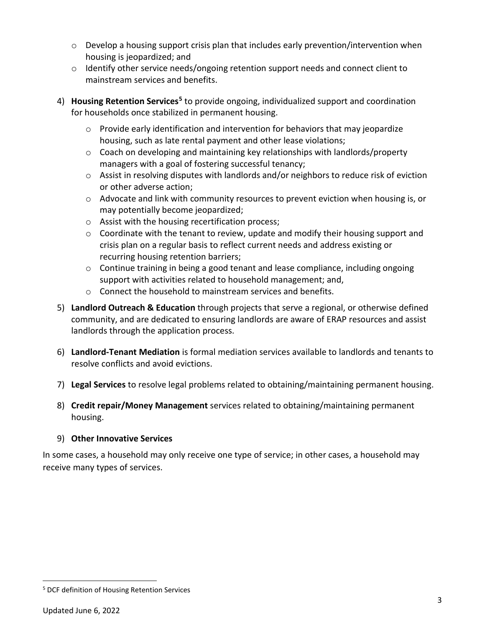- $\circ$  Develop a housing support crisis plan that includes early prevention/intervention when housing is jeopardized; and
- o Identify other service needs/ongoing retention support needs and connect client to mainstream services and benefits.
- 4) **Housing Retention Services[5](#page-2-0)** to provide ongoing, individualized support and coordination for households once stabilized in permanent housing.
	- $\circ$  Provide early identification and intervention for behaviors that may jeopardize housing, such as late rental payment and other lease violations;
	- o Coach on developing and maintaining key relationships with landlords/property managers with a goal of fostering successful tenancy;
	- $\circ$  Assist in resolving disputes with landlords and/or neighbors to reduce risk of eviction or other adverse action;
	- o Advocate and link with community resources to prevent eviction when housing is, or may potentially become jeopardized;
	- o Assist with the housing recertification process;
	- o Coordinate with the tenant to review, update and modify their housing support and crisis plan on a regular basis to reflect current needs and address existing or recurring housing retention barriers;
	- o Continue training in being a good tenant and lease compliance, including ongoing support with activities related to household management; and,
	- o Connect the household to mainstream services and benefits.
- 5) **Landlord Outreach & Education** through projects that serve a regional, or otherwise defined community, and are dedicated to ensuring landlords are aware of ERAP resources and assist landlords through the application process.
- 6) **Landlord-Tenant Mediation** is formal mediation services available to landlords and tenants to resolve conflicts and avoid evictions.
- 7) **Legal Services** to resolve legal problems related to obtaining/maintaining permanent housing.
- 8) **Credit repair/Money Management** services related to obtaining/maintaining permanent housing.

# 9) **Other Innovative Services**

In some cases, a household may only receive one type of service; in other cases, a household may receive many types of services.

<span id="page-2-0"></span><sup>5</sup> DCF definition of Housing Retention Services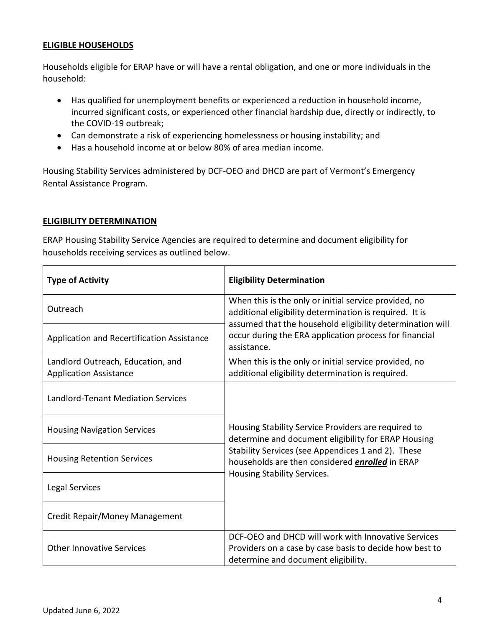#### **ELIGIBLE HOUSEHOLDS**

Households eligible for ERAP have or will have a rental obligation, and one or more individuals in the household:

- Has qualified for unemployment benefits or experienced a reduction in household income, incurred significant costs, or experienced other financial hardship due, directly or indirectly, to the COVID-19 outbreak;
- Can demonstrate a risk of experiencing homelessness or housing instability; and
- Has a household income at or below 80% of area median income.

Housing Stability Services administered by DCF-OEO and DHCD are part of Vermont's Emergency Rental Assistance Program.

#### **ELIGIBILITY DETERMINATION**

ERAP Housing Stability Service Agencies are required to determine and document eligibility for households receiving services as outlined below.

| <b>Type of Activity</b>                                            | <b>Eligibility Determination</b>                                                                                                                                              |  |  |  |  |
|--------------------------------------------------------------------|-------------------------------------------------------------------------------------------------------------------------------------------------------------------------------|--|--|--|--|
| Outreach                                                           | When this is the only or initial service provided, no<br>additional eligibility determination is required. It is<br>assumed that the household eligibility determination will |  |  |  |  |
| Application and Recertification Assistance                         | occur during the ERA application process for financial<br>assistance.                                                                                                         |  |  |  |  |
| Landlord Outreach, Education, and<br><b>Application Assistance</b> | When this is the only or initial service provided, no<br>additional eligibility determination is required.                                                                    |  |  |  |  |
| <b>Landlord-Tenant Mediation Services</b>                          |                                                                                                                                                                               |  |  |  |  |
| <b>Housing Navigation Services</b>                                 | Housing Stability Service Providers are required to<br>determine and document eligibility for ERAP Housing                                                                    |  |  |  |  |
| <b>Housing Retention Services</b>                                  | Stability Services (see Appendices 1 and 2). These<br>households are then considered <i>enrolled</i> in ERAP<br>Housing Stability Services.                                   |  |  |  |  |
| Legal Services                                                     |                                                                                                                                                                               |  |  |  |  |
| Credit Repair/Money Management                                     |                                                                                                                                                                               |  |  |  |  |
| <b>Other Innovative Services</b>                                   | DCF-OEO and DHCD will work with Innovative Services<br>Providers on a case by case basis to decide how best to<br>determine and document eligibility.                         |  |  |  |  |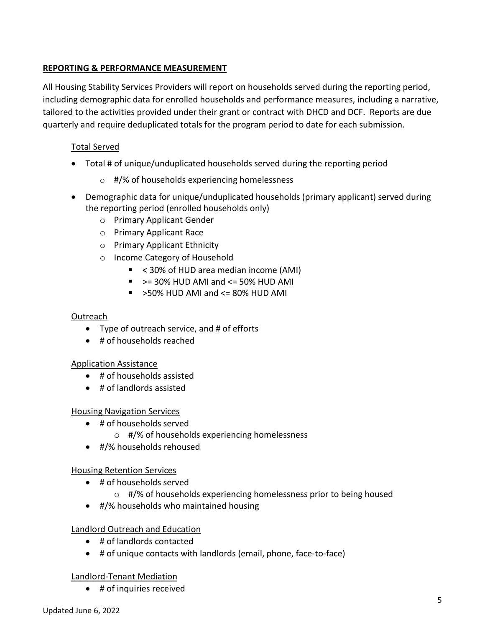# **REPORTING & PERFORMANCE MEASUREMENT**

All Housing Stability Services Providers will report on households served during the reporting period, including demographic data for enrolled households and performance measures, including a narrative, tailored to the activities provided under their grant or contract with DHCD and DCF. Reports are due quarterly and require deduplicated totals for the program period to date for each submission.

# Total Served

- Total # of unique/unduplicated households served during the reporting period
	- o #/% of households experiencing homelessness
- Demographic data for unique/unduplicated households (primary applicant) served during the reporting period (enrolled households only)
	- o Primary Applicant Gender
	- o Primary Applicant Race
	- o Primary Applicant Ethnicity
	- o Income Category of Household
		- < 30% of HUD area median income (AMI)
		- $\sim$  >= 30% HUD AMI and <= 50% HUD AMI
		- $\sim$  >50% HUD AMI and <= 80% HUD AMI

#### Outreach

- Type of outreach service, and # of efforts
- # of households reached

# Application Assistance

- # of households assisted
- # of landlords assisted

#### Housing Navigation Services

- # of households served
	- o #/% of households experiencing homelessness
- #/% households rehoused

# Housing Retention Services

- # of households served
	- o #/% of households experiencing homelessness prior to being housed
- #/% households who maintained housing

# Landlord Outreach and Education

- # of landlords contacted
- # of unique contacts with landlords (email, phone, face-to-face)

# Landlord-Tenant Mediation

• # of inquiries received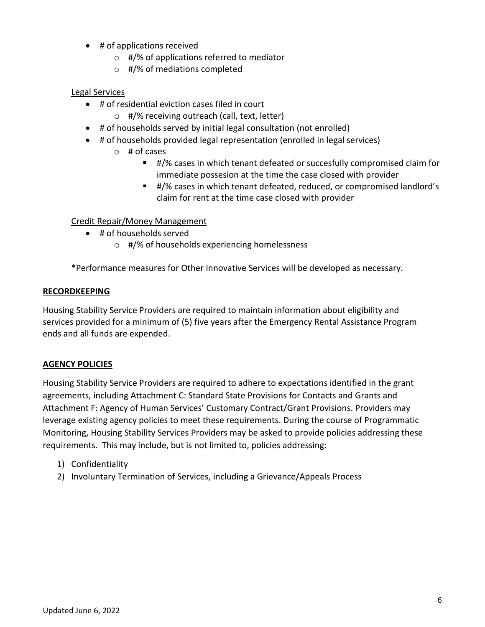- # of applications received
	- $\circ$  #/% of applications referred to mediator
	- o #/% of mediations completed

#### Legal Services

- # of residential eviction cases filed in court
	- o #/% receiving outreach (call, text, letter)
- # of households served by initial legal consultation (not enrolled)
- # of households provided legal representation (enrolled in legal services)
	- $\circ$  # of cases
		- #/% cases in which tenant defeated or succesfully compromised claim for immediate possesion at the time the case closed with provider
		- #/% cases in which tenant defeated, reduced, or compromised landlord's claim for rent at the time case closed with provider

# Credit Repair/Money Management

- # of households served
	- o #/% of households experiencing homelessness

\*Performance measures for Other Innovative Services will be developed as necessary.

#### **RECORDKEEPING**

Housing Stability Service Providers are required to maintain information about eligibility and services provided for a minimum of (5) five years after the Emergency Rental Assistance Program ends and all funds are expended.

#### **AGENCY POLICIES**

Housing Stability Service Providers are required to adhere to expectations identified in the grant agreements, including Attachment C: Standard State Provisions for Contacts and Grants and Attachment F: Agency of Human Services' Customary Contract/Grant Provisions. Providers may leverage existing agency policies to meet these requirements. During the course of Programmatic Monitoring, Housing Stability Services Providers may be asked to provide policies addressing these requirements. This may include, but is not limited to, policies addressing:

- 1) Confidentiality
- 2) Involuntary Termination of Services, including a Grievance/Appeals Process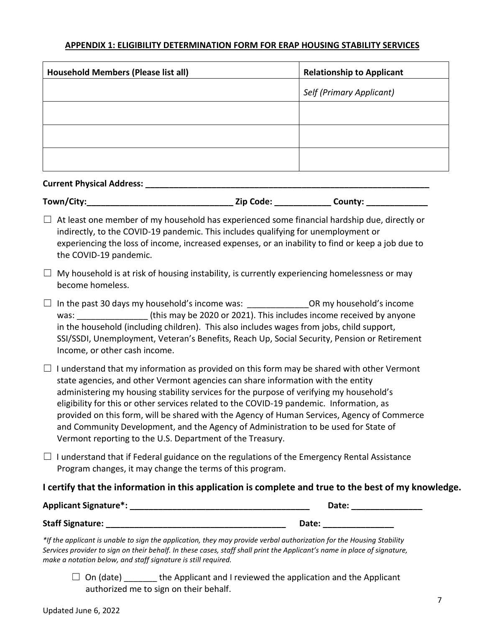#### **APPENDIX 1: ELIGIBILITY DETERMINATION FORM FOR ERAP HOUSING STABILITY SERVICES**

| <b>Household Members (Please list all)</b> | <b>Relationship to Applicant</b> |
|--------------------------------------------|----------------------------------|
|                                            | Self (Primary Applicant)         |
|                                            |                                  |
|                                            |                                  |
|                                            |                                  |

#### **Current Physical Address:**

| Town/City: | Zip Code: | County: |
|------------|-----------|---------|
|------------|-----------|---------|

 $\Box$  At least one member of my household has experienced some financial hardship due, directly or indirectly, to the COVID-19 pandemic. This includes qualifying for unemployment or experiencing the loss of income, increased expenses, or an inability to find or keep a job due to the COVID-19 pandemic.

- $\Box$  My household is at risk of housing instability, is currently experiencing homelessness or may become homeless.
- $\Box$  In the past 30 days my household's income was:  $\Box$  OR my household's income was:  $\frac{1}{100}$  (this may be 2020 or 2021). This includes income received by anyone in the household (including children). This also includes wages from jobs, child support, SSI/SSDI, Unemployment, Veteran's Benefits, Reach Up, Social Security, Pension or Retirement Income, or other cash income.
- $\Box$  I understand that my information as provided on this form may be shared with other Vermont state agencies, and other Vermont agencies can share information with the entity administering my housing stability services for the purpose of verifying my household's eligibility for this or other services related to the COVID-19 pandemic. Information, as provided on this form, will be shared with the Agency of Human Services, Agency of Commerce and Community Development, and the Agency of Administration to be used for State of Vermont reporting to the U.S. Department of the Treasury.
- $\Box$  I understand that if Federal guidance on the regulations of the Emergency Rental Assistance Program changes, it may change the terms of this program.

#### **I certify that the information in this application is complete and true to the best of my knowledge.**

| <b>Applicant Signature*:</b> | Date: |
|------------------------------|-------|
| <b>Staff Signature:</b>      | Date: |

*\*If the applicant is unable to sign the application, they may provide verbal authorization for the Housing Stability Services provider to sign on their behalf. In these cases, staff shall print the Applicant's name in place of signature, make a notation below, and staff signature is still required.*

 $\Box$  On (date) the Applicant and I reviewed the application and the Applicant authorized me to sign on their behalf.